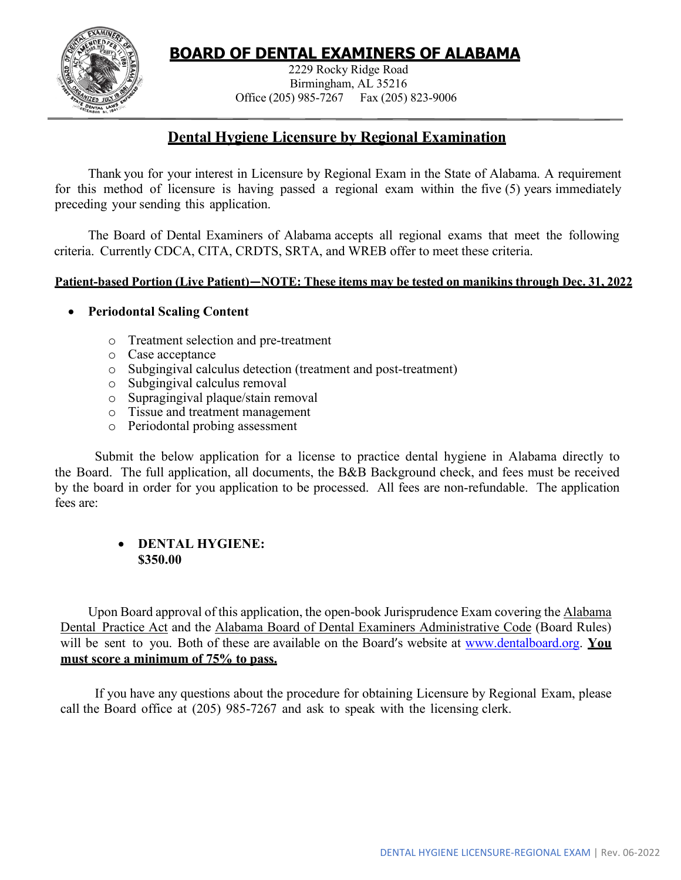# **BOARD OF DENTAL EXAMINERS OF ALABAMA**



2229 Rocky Ridge Road Birmingham, AL 35216 Office (205) 985-7267 Fax (205) 823-9006

## **Dental Hygiene Licensure by Regional Examination**

Thank you for your interest in Licensure by Regional Exam in the State of Alabama. A requirement for this method of licensure is having passed a regional exam within the five (5) years immediately preceding your sending this application.

The Board of Dental Examiners of Alabama accepts all regional exams that meet the following criteria. Currently CDCA, CITA, CRDTS, SRTA, and WREB offer to meet these criteria.

#### **Patient-based Portion (Live Patient)—NOTE: These items may be tested on manikins through Dec. 31, 2022**

### • **Periodontal Scaling Content**

- o Treatment selection and pre-treatment
- o Case acceptance
- o Subgingival calculus detection (treatment and post-treatment)
- o Subgingival calculus removal
- o Supragingival plaque/stain removal
- o Tissue and treatment management
- o Periodontal probing assessment

Submit the below application for a license to practice dental hygiene in Alabama directly to the Board. The full application, all documents, the B&B Background check, and fees must be received by the board in order for you application to be processed. All fees are non-refundable. The application fees are:

### • **DENTAL HYGIENE: \$350.00**

Upon Board approval of this application, the open-book Jurisprudence Exam covering the Alabama Dental Practice Act and the Alabama Board of Dental Examiners Administrative Code (Board Rules) will be sent to you. Both of these are available on the Board's website at [www.dentalboard.org.](http://www.dentalboard.org/) **You must score a minimum of 75% to pass.**

If you have any questions about the procedure for obtaining Licensure by Regional Exam, please call the Board office at (205) 985-7267 and ask to speak with the licensing clerk.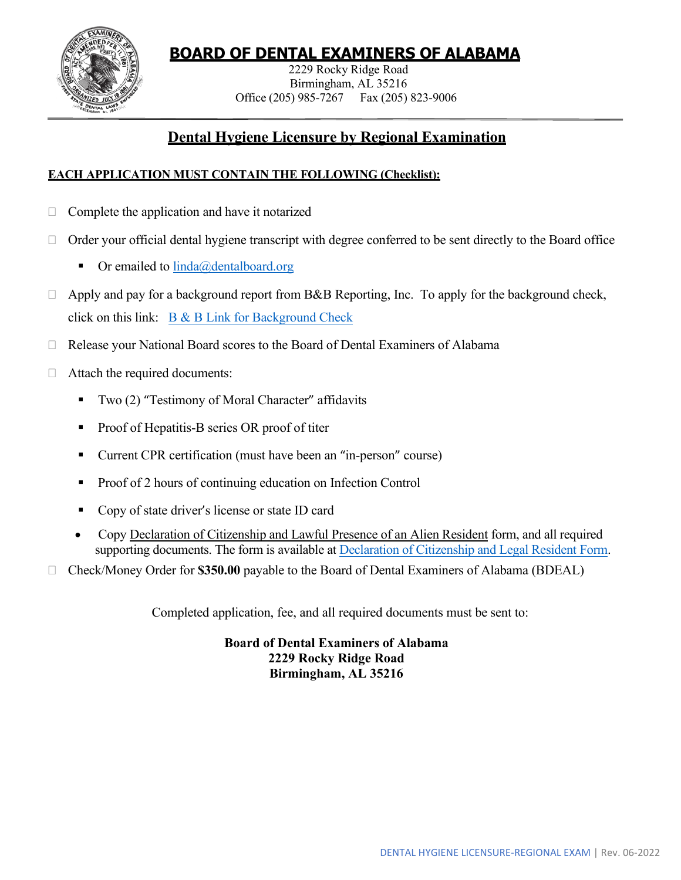

# **BOARD OF DENTAL EXAMINERS OF ALABAMA**

2229 Rocky Ridge Road Birmingham, AL 35216 Office (205) 985-7267 Fax (205) 823-9006

## **Dental Hygiene Licensure by Regional Examination**

### **EACH APPLICATION MUST CONTAIN THE FOLLOWING (Checklist):**

- $\Box$  Complete the application and have it notarized
- $\Box$  Order your official dental hygiene transcript with degree conferred to be sent directly to the Board office
	- $\blacksquare$  Or emailed to [linda@dentalboard.org](mailto:linda@dentalboard.org)
- $\Box$  Apply and pay for a background report from B&B Reporting, Inc. To apply for the background check, click on this link:  $B & B$  Link for Background Check
- Release your National Board scores to the Board of Dental Examiners of Alabama
- $\Box$  Attach the required documents:
	- Two  $(2)$  "Testimony of Moral Character" affidavits
	- Proof of Hepatitis-B series OR proof of titer
	- Current CPR certification (must have been an "in-person" course)
	- Proof of 2 hours of continuing education on Infection Control
	- Copy of state driver's license or state ID card
	- Copy Declaration of Citizenship and Lawful Presence of an Alien Resident form, and all required supporting documents. The form is available at [Declaration of Citizenship and Legal Resident Form.](https://www.dentalboard.org/wp-content/uploads/2022/02/Citizenship-with-lists.pdf)
- Check/Money Order for **\$350.00** payable to the Board of Dental Examiners of Alabama (BDEAL)

Completed application, fee, and all required documents must be sent to:

**Board of Dental Examiners of Alabama 2229 Rocky Ridge Road Birmingham, AL 35216**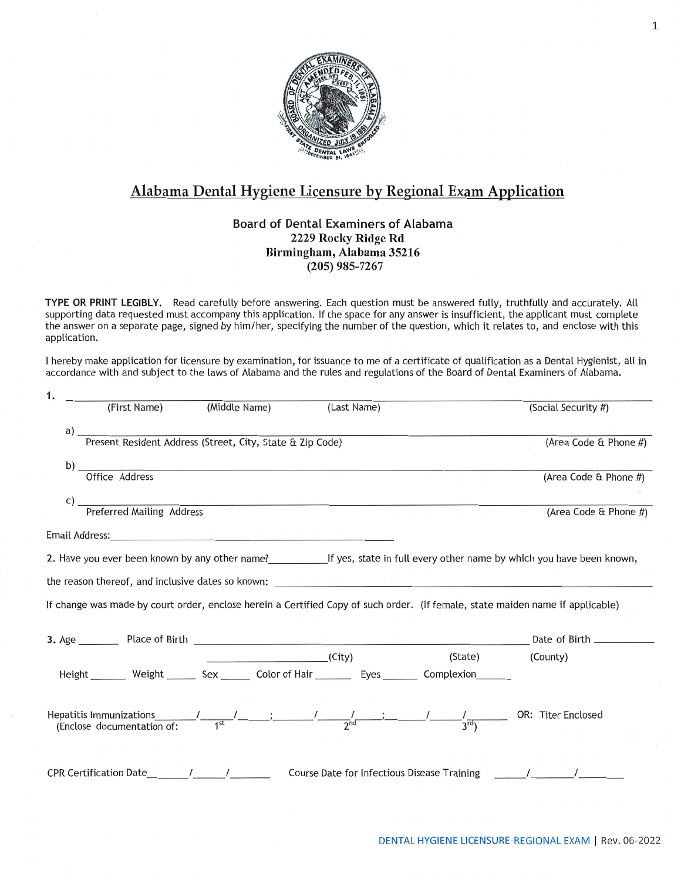

### Alabama Dental Hygiene Licensure by Regional Exam Application

#### **Board of Dental Examiners of Alabama** 2229 Rocky Ridge Rd Birmingham, Alabama 35216  $(205)$  985-7267

TYPE OR PRINT LEGIBLY. Read carefully before answering. Each question must be answered fully, truthfully and accurately. All supporting data requested must accompany this application. If the space for any answer is insufficient, the applicant must complete the answer on a separate page, signed by him/her, specifying the number of the question, which it relates to, and enclose with this application.

I hereby make application for licensure by examination, for issuance to me of a certificate of qualification as a Dental Hygienist, all in accordance with and subject to the laws of Alabama and the rules and regulations of the Board of Dental Examiners of Alabama.

| (First Name)                                                                                                  | (Middle Name) | (Last Name)                                                                                                                                                                                                                              |         | (Social Security #)                                                                                                            |
|---------------------------------------------------------------------------------------------------------------|---------------|------------------------------------------------------------------------------------------------------------------------------------------------------------------------------------------------------------------------------------------|---------|--------------------------------------------------------------------------------------------------------------------------------|
| a) Tresent Resident Address (Street, City, State & Zip Code)                                                  |               |                                                                                                                                                                                                                                          |         |                                                                                                                                |
|                                                                                                               |               |                                                                                                                                                                                                                                          |         | (Area Code & Phone #)                                                                                                          |
|                                                                                                               |               |                                                                                                                                                                                                                                          |         |                                                                                                                                |
|                                                                                                               |               | b) Office Address                                                                                                                                                                                                                        |         | (Area Code & Phone #)                                                                                                          |
|                                                                                                               |               |                                                                                                                                                                                                                                          |         |                                                                                                                                |
|                                                                                                               |               | c) Treferred Mailing Address                                                                                                                                                                                                             |         | (Area Code & Phone #)                                                                                                          |
|                                                                                                               |               |                                                                                                                                                                                                                                          |         |                                                                                                                                |
| Email Address: No. 2014 19:00 19:00 19:00 19:00 19:00 19:00 19:00 19:00 19:00 19:00 19:00 19:00 19:00 19:00 1 |               |                                                                                                                                                                                                                                          |         |                                                                                                                                |
|                                                                                                               |               |                                                                                                                                                                                                                                          |         |                                                                                                                                |
|                                                                                                               |               | the reason thereof, and inclusive dates so known: the contract of the contract of the contract of the contract of the contract of the contract of the contract of the contract of the contract of the contract of the contract           |         |                                                                                                                                |
|                                                                                                               |               |                                                                                                                                                                                                                                          |         |                                                                                                                                |
|                                                                                                               |               |                                                                                                                                                                                                                                          |         | If change was made by court order, enclose herein a Certified Copy of such order. (If female, state maiden name if applicable) |
|                                                                                                               |               |                                                                                                                                                                                                                                          |         |                                                                                                                                |
|                                                                                                               |               |                                                                                                                                                                                                                                          |         |                                                                                                                                |
|                                                                                                               |               | (City)                                                                                                                                                                                                                                   | (State) | (County)                                                                                                                       |
|                                                                                                               |               | Height ________ Weight ________ Sex _______ Color of Hair _________ Eyes ________ Complexion _______                                                                                                                                     |         |                                                                                                                                |
|                                                                                                               |               |                                                                                                                                                                                                                                          |         |                                                                                                                                |
|                                                                                                               |               |                                                                                                                                                                                                                                          |         |                                                                                                                                |
|                                                                                                               |               | Hepatitis Immunizations $\frac{1}{1^{3t}}$ $\frac{1}{1^{3t}}$ $\frac{1}{1^{3t}}$ $\frac{1}{1^{3t}}$ $\frac{1}{1^{3t}}$ $\frac{1}{1^{3t}}$ $\frac{1}{1^{3t}}$ $\frac{1}{1^{3t}}$ $\frac{1}{1^{3t}}$ $\frac{1}{1^{3t}}$ OR: Titer Enclosed |         |                                                                                                                                |
|                                                                                                               |               |                                                                                                                                                                                                                                          |         |                                                                                                                                |
|                                                                                                               |               |                                                                                                                                                                                                                                          |         |                                                                                                                                |
| CPR Certification Date 1 / 1                                                                                  |               |                                                                                                                                                                                                                                          |         | Course Date for Infectious Disease Training Theory Alleman Market Market Market M                                              |
|                                                                                                               |               |                                                                                                                                                                                                                                          |         |                                                                                                                                |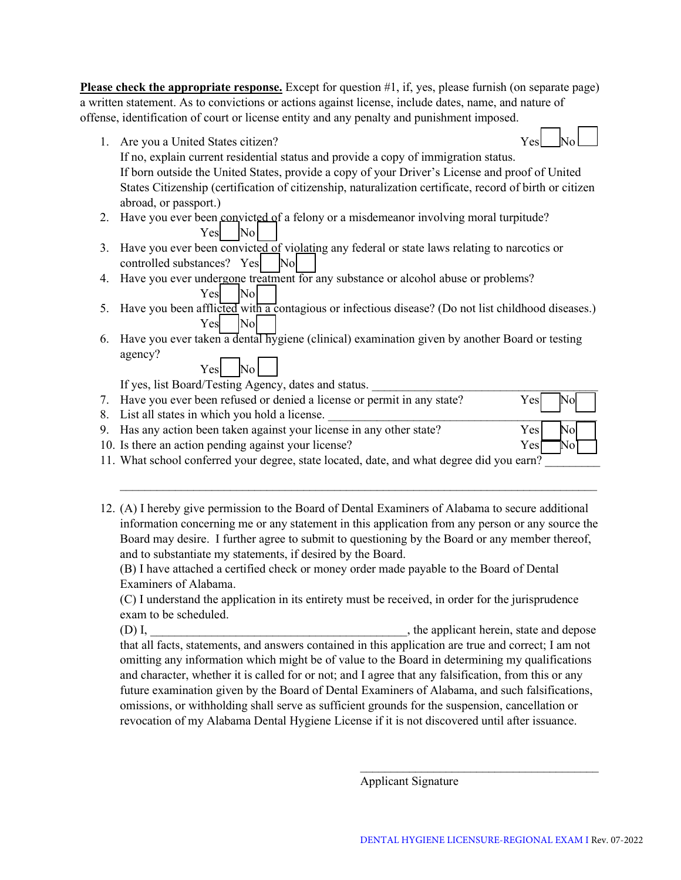**Please check the appropriate response.** Except for question #1, if, yes, please furnish (on separate page) a written statement. As to convictions or actions against license, include dates, name, and nature of offense, identification of court or license entity and any penalty and punishment imposed.

1. Are you a United States citizen? Yes

If no, explain current residential status and provide a copy of immigration status. If born outside the United States, provide a copy of your Driver's License and proof of United States Citizenship (certification of citizenship, naturalization certificate, record of birth or citizen abroad, or passport.)

- 2. Have you ever been convicted of a felony or a misdemeanor involving moral turpitude? Yes No
- 3. Have you ever been convicted of violating any federal or state laws relating to narcotics or controlled substances?  $Yes$  No
- 4. Have you ever undergone treatment for any substance or alcohol abuse or problems? Yes No
- 5. Have you been afflicted with a contagious or infectious disease? (Do not list childhood diseases.) Yes No
- 6. Have you ever taken a dental hygiene (clinical) examination given by another Board or testing agency? Yes No

If yes, list Board/Testing Agency, dates and status.

| 7. Have you ever been refused or denied a license or permit in any state? |     | $Yes$ No |  |
|---------------------------------------------------------------------------|-----|----------|--|
| 8. List all states in which you hold a license.                           |     |          |  |
| 9. Has any action been taken against your license in any other state?     | Yes | Nol      |  |
| 10. Is there an action pending against your license?                      | Yes |          |  |

- 11. What school conferred your degree, state located, date, and what degree did you earn?
- 12. (A) I hereby give permission to the Board of Dental Examiners of Alabama to secure additional information concerning me or any statement in this application from any person or any source the Board may desire. I further agree to submit to questioning by the Board or any member thereof, and to substantiate my statements, if desired by the Board.

 $\_$  , and the contribution of the contribution of the contribution of the contribution of  $\mathcal{L}_\text{max}$ 

(B) I have attached a certified check or money order made payable to the Board of Dental Examiners of Alabama.

(C) I understand the application in its entirety must be received, in order for the jurisprudence exam to be scheduled.

(D) I, the applicant herein, state and depose that all facts, statements, and answers contained in this application are true and correct; I am not omitting any information which might be of value to the Board in determining my qualifications and character, whether it is called for or not; and I agree that any falsification, from this or any future examination given by the Board of Dental Examiners of Alabama, and such falsifications, omissions, or withholding shall serve as sufficient grounds for the suspension, cancellation or revocation of my Alabama Dental Hygiene License if it is not discovered until after issuance.

Applicant Signature

\_\_\_\_\_\_\_\_\_\_\_\_\_\_\_\_\_\_\_\_\_\_\_\_\_\_\_\_\_\_\_\_\_\_\_\_\_\_\_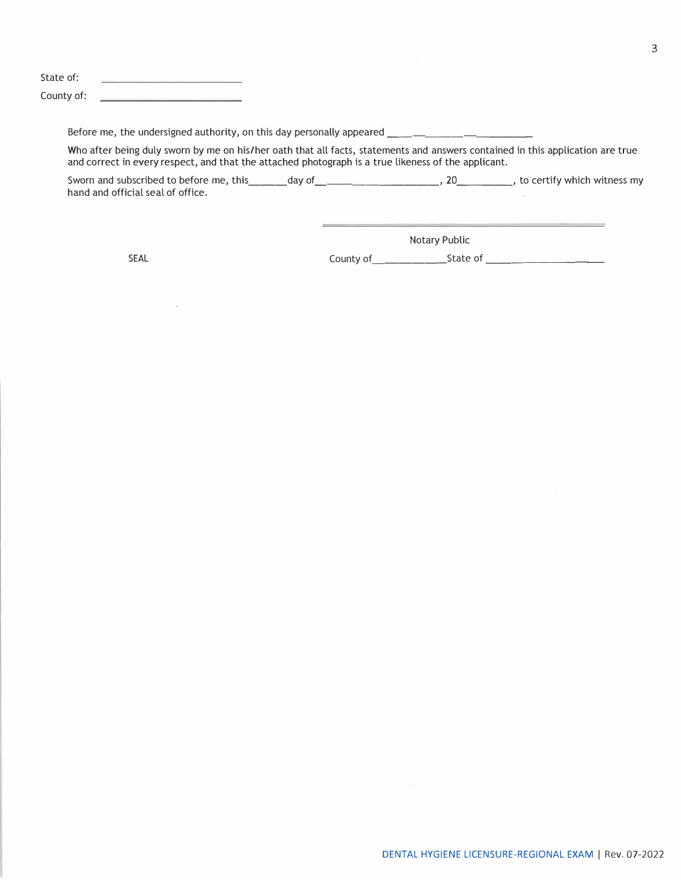State of: the contract of the contract of the contract of the contract of County of:

Before me, the undersigned authority, on this day personally appeared \_\_\_\_\_\_\_\_\_\_

Who after being duly sworn by me on his/her oath that all facts, statements and answers contained in this application are true and correct in every respect, and that the attached photograph is a true likeness of the applicant.

Sworn and subscribed to before me, this \_\_\_ day of \_ \_\_\_\_\_\_\_\_ , 20 \_\_\_\_\_ , to certify which witness my hand and official seal of office.

÷.

Notary Public

SEAL County of \_\_\_\_\_\_ State of \_\_\_\_\_\_\_\_ \_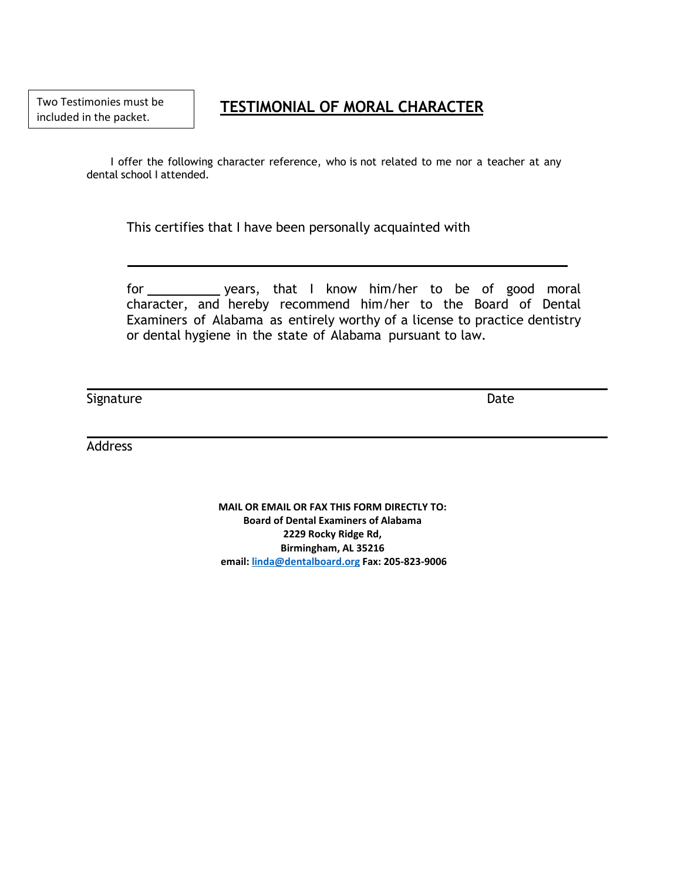**TESTIMONIAL OF MORAL CHARACTER**

I offer the following character reference, who is not related to me nor a teacher at any dental school I attended.

This certifies that I have been personally acquainted with

for \_\_\_\_\_\_\_\_\_\_\_\_ years, that I know him/her to be of good moral character, and hereby recommend him/her to the Board of Dental Examiners of Alabama as entirely worthy of a license to practice dentistry or dental hygiene in the state of Alabama pursuant to law.

Signature Date Date Communications and the Date Date Date Date

Address

**MAIL OR EMAIL OR FAX THIS FORM DIRECTLY TO: Board of Dental Examiners of Alabama 2229 Rocky Ridge Rd, Birmingham, AL 35216 email[: linda@dentalboard.org](mailto:linda@dentalboard.org) Fax: 205-823-9006**